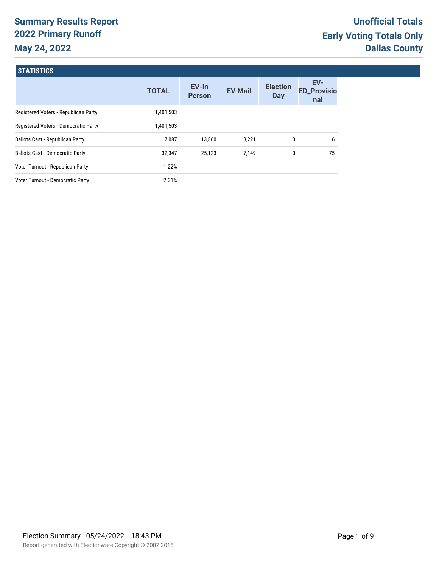# **Summary Results Report 2022 Primary Runoff May 24, 2022**

## **STATISTICS**

|                                        | <b>TOTAL</b> | EV-In<br><b>Person</b> | <b>EV Mail</b> | <b>Election</b><br>Day | EV-<br><b>ED_Provisio</b><br>nal |
|----------------------------------------|--------------|------------------------|----------------|------------------------|----------------------------------|
| Registered Voters - Republican Party   | 1,401,503    |                        |                |                        |                                  |
| Registered Voters - Democratic Party   | 1,401,503    |                        |                |                        |                                  |
| <b>Ballots Cast - Republican Party</b> | 17.087       | 13,860                 | 3,221          | 0                      | 6                                |
| <b>Ballots Cast - Democratic Party</b> | 32,347       | 25,123                 | 7,149          | 0                      | 75                               |
| Voter Turnout - Republican Party       | 1.22%        |                        |                |                        |                                  |
| Voter Turnout - Democratic Party       | 2.31%        |                        |                |                        |                                  |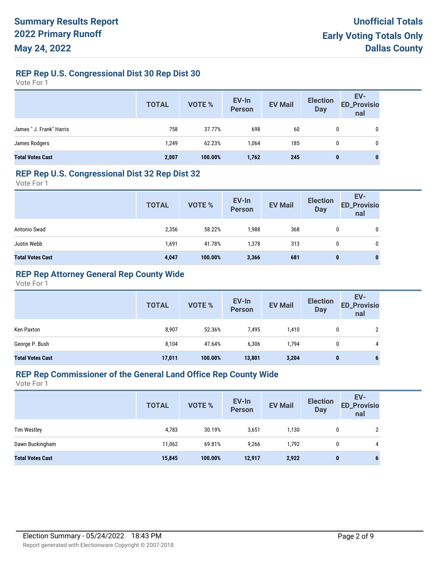**REP Rep U.S. Congressional Dist 30 Rep Dist 30**

Vote For 1

|                          | <b>TOTAL</b> | <b>VOTE %</b> | EV-In<br>Person | <b>EV Mail</b> | <b>Election</b><br><b>Day</b> | EV-<br><b>ED_Provisio</b><br>nal |
|--------------------------|--------------|---------------|-----------------|----------------|-------------------------------|----------------------------------|
| James " J. Frank" Harris | 758          | 37.77%        | 698             | 60             | 0                             | 0                                |
| James Rodgers            | 1,249        | 62.23%        | 1,064           | 185            | 0                             | 0                                |
| <b>Total Votes Cast</b>  | 2,007        | 100.00%       | 1,762           | 245            | $\bf{0}$                      | $\bf{0}$                         |

### **REP Rep U.S. Congressional Dist 32 Rep Dist 32**

Vote For 1

|                         | <b>TOTAL</b> | VOTE %  | EV-In<br>Person | <b>EV Mail</b> | <b>Election</b><br><b>Day</b> | EV-<br><b>ED_Provisio</b><br>nal |
|-------------------------|--------------|---------|-----------------|----------------|-------------------------------|----------------------------------|
| Antonio Swad            | 2,356        | 58.22%  | 1,988           | 368            | 0                             | 0                                |
| Justin Webb             | 1,691        | 41.78%  | 1,378           | 313            | 0                             | 0                                |
| <b>Total Votes Cast</b> | 4,047        | 100.00% | 3,366           | 681            | 0                             | 0                                |

## **REP Rep Attorney General Rep County Wide**

Vote For 1

|                         | <b>TOTAL</b> | <b>VOTE %</b> | EV-In<br><b>Person</b> | <b>EV Mail</b> | <b>Election</b><br><b>Day</b> | EV-<br><b>ED_Provisio</b><br>nal |
|-------------------------|--------------|---------------|------------------------|----------------|-------------------------------|----------------------------------|
| Ken Paxton              | 8,907        | 52.36%        | 7,495                  | 1,410          |                               |                                  |
| George P. Bush          | 8,104        | 47.64%        | 6,306                  | 1,794          |                               | 4                                |
| <b>Total Votes Cast</b> | 17,011       | 100.00%       | 13,801                 | 3,204          | 0                             | b                                |

#### **REP Rep Commissioner of the General Land Office Rep County Wide**

|                         | <b>TOTAL</b> | VOTE %  | EV-In<br>Person | <b>EV Mail</b> | <b>Election</b><br><b>Day</b> | EV-<br><b>ED_Provisio</b><br>nal |
|-------------------------|--------------|---------|-----------------|----------------|-------------------------------|----------------------------------|
| <b>Tim Westley</b>      | 4,783        | 30.19%  | 3,651           | 1,130          | 0                             | 2                                |
| Dawn Buckingham         | 11,062       | 69.81%  | 9,266           | 1,792          | 0                             | 4                                |
| <b>Total Votes Cast</b> | 15,845       | 100.00% | 12,917          | 2,922          | 0                             | 6                                |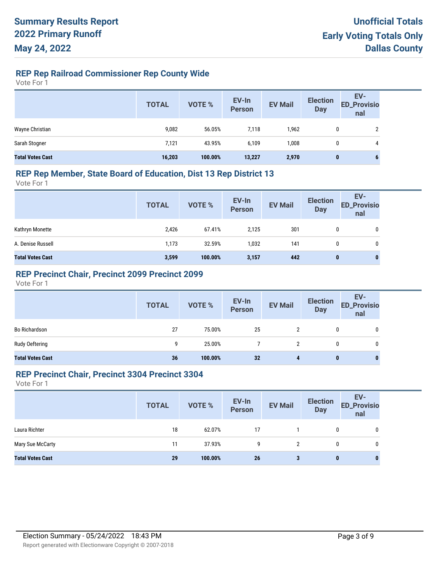## **REP Rep Railroad Commissioner Rep County Wide**

Vote For 1

|                         | <b>TOTAL</b> | <b>VOTE %</b> | EV-In<br>Person | <b>EV Mail</b> | <b>Election</b><br><b>Day</b> | EV-<br><b>ED_Provisio</b><br>nal |
|-------------------------|--------------|---------------|-----------------|----------------|-------------------------------|----------------------------------|
| Wayne Christian         | 9,082        | 56.05%        | 7,118           | 1,962          | 0                             | 2                                |
| Sarah Stogner           | 7,121        | 43.95%        | 6,109           | 1,008          | 0                             | 4                                |
| <b>Total Votes Cast</b> | 16,203       | 100.00%       | 13,227          | 2,970          | $\bf{0}$                      | 6                                |

### **REP Rep Member, State Board of Education, Dist 13 Rep District 13**

Vote For 1

|                         | <b>TOTAL</b> | VOTE %  | EV-In<br>Person | <b>EV Mail</b> | <b>Election</b><br><b>Day</b> | EV-<br><b>ED_Provisio</b><br>nal |
|-------------------------|--------------|---------|-----------------|----------------|-------------------------------|----------------------------------|
| Kathryn Monette         | 2,426        | 67.41%  | 2.125           | 301            | 0                             | 0                                |
| A. Denise Russell       | 1,173        | 32.59%  | 1,032           | 141            | $\mathbf{0}$                  | 0                                |
| <b>Total Votes Cast</b> | 3,599        | 100.00% | 3,157           | 442            | 0                             | 0                                |

## **REP Precinct Chair, Precinct 2099 Precinct 2099**

Vote For 1

|                         | <b>TOTAL</b> | VOTE %  | EV-In<br>Person | <b>EV Mail</b> | <b>Election</b><br><b>Day</b> | EV-<br>ED_Provisio<br>nal |
|-------------------------|--------------|---------|-----------------|----------------|-------------------------------|---------------------------|
| Bo Richardson           | 27           | 75.00%  | 25              |                | 0                             | 0                         |
| Rudy Oeftering          | 9            | 25.00%  |                 |                | 0                             | 0                         |
| <b>Total Votes Cast</b> | 36           | 100.00% | 32              |                | $\bf{0}$                      | 0                         |

#### **REP Precinct Chair, Precinct 3304 Precinct 3304**

|                         | <b>TOTAL</b> | VOTE %  | EV-In<br>Person | <b>EV Mail</b> | <b>Election</b><br><b>Day</b> | EV-<br><b>ED_Provisio</b><br>nal |
|-------------------------|--------------|---------|-----------------|----------------|-------------------------------|----------------------------------|
| Laura Richter           | 18           | 62.07%  | 17              |                | 0                             | 0                                |
| Mary Sue McCarty        | 11           | 37.93%  | g               | 2              | 0                             | 0                                |
| <b>Total Votes Cast</b> | 29           | 100.00% | 26              | 3              | $\bf{0}$                      | $\bf{0}$                         |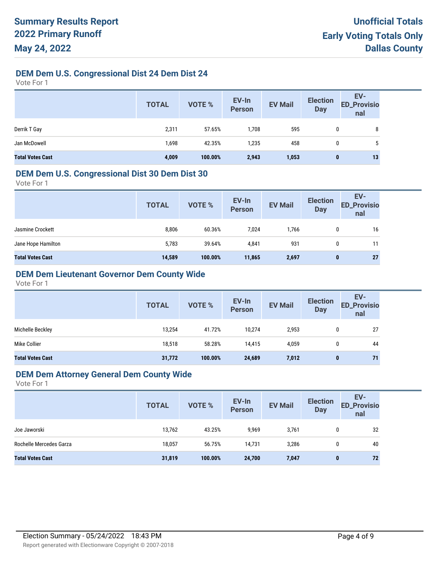## **DEM Dem U.S. Congressional Dist 24 Dem Dist 24**

Vote For 1

|                         | <b>TOTAL</b> | <b>VOTE %</b> | EV-In<br>Person | <b>EV Mail</b> | <b>Election</b><br><b>Day</b> | EV-<br><b>ED_Provisio</b><br>nal |
|-------------------------|--------------|---------------|-----------------|----------------|-------------------------------|----------------------------------|
| Derrik T Gay            | 2,311        | 57.65%        | 1,708           | 595            | 0                             | 8                                |
| Jan McDowell            | 1,698        | 42.35%        | 1,235           | 458            | 0                             | 5                                |
| <b>Total Votes Cast</b> | 4,009        | 100.00%       | 2,943           | 1,053          | 0                             | 13                               |

#### **DEM Dem U.S. Congressional Dist 30 Dem Dist 30**

Vote For 1

|                         | <b>TOTAL</b> | VOTE %  | EV-In<br>Person | <b>EV Mail</b> | <b>Election</b><br><b>Day</b> | EV-<br><b>ED_Provisio</b><br>nal |
|-------------------------|--------------|---------|-----------------|----------------|-------------------------------|----------------------------------|
| Jasmine Crockett        | 8,806        | 60.36%  | 7,024           | 1,766          | 0                             | 16                               |
| Jane Hope Hamilton      | 5,783        | 39.64%  | 4,841           | 931            | 0                             | 11                               |
| <b>Total Votes Cast</b> | 14,589       | 100.00% | 11,865          | 2,697          | 0                             | 27                               |

## **DEM Dem Lieutenant Governor Dem County Wide**

Vote For 1

|                         | <b>TOTAL</b> | <b>VOTE %</b> | EV-In<br><b>Person</b> | <b>EV Mail</b> | <b>Election</b><br><b>Day</b> | EV-<br><b>ED_Provisio</b><br>nal |
|-------------------------|--------------|---------------|------------------------|----------------|-------------------------------|----------------------------------|
| Michelle Beckley        | 13,254       | 41.72%        | 10,274                 | 2,953          | 0                             | 27                               |
| Mike Collier            | 18,518       | 58.28%        | 14,415                 | 4,059          | 0                             | 44                               |
| <b>Total Votes Cast</b> | 31,772       | 100.00%       | 24,689                 | 7,012          | $\mathbf{0}$                  | 71                               |

#### **DEM Dem Attorney General Dem County Wide**

|                         | <b>TOTAL</b> | <b>VOTE %</b> | EV-In<br>Person | <b>EV Mail</b> | <b>Election</b><br><b>Day</b> | EV-<br><b>ED_Provisio</b><br>nal |
|-------------------------|--------------|---------------|-----------------|----------------|-------------------------------|----------------------------------|
| Joe Jaworski            | 13,762       | 43.25%        | 9,969           | 3,761          | 0                             | 32                               |
| Rochelle Mercedes Garza | 18,057       | 56.75%        | 14,731          | 3,286          | 0                             | 40                               |
| <b>Total Votes Cast</b> | 31,819       | 100.00%       | 24,700          | 7,047          | $\bf{0}$                      | 72                               |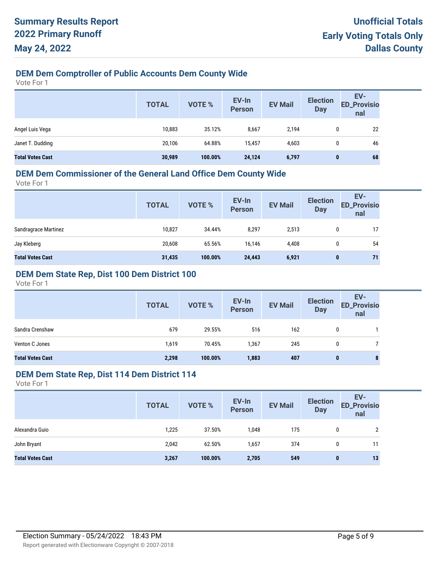## **DEM Dem Comptroller of Public Accounts Dem County Wide**

Vote For 1

|                         | <b>TOTAL</b> | <b>VOTE %</b> | EV-In<br><b>Person</b> | <b>EV Mail</b> | <b>Election</b><br><b>Day</b> | EV-<br><b>ED_Provisio</b><br>nal |
|-------------------------|--------------|---------------|------------------------|----------------|-------------------------------|----------------------------------|
| Angel Luis Vega         | 10,883       | 35.12%        | 8,667                  | 2,194          | 0                             | 22                               |
| Janet T. Dudding        | 20,106       | 64.88%        | 15,457                 | 4,603          | 0                             | 46                               |
| <b>Total Votes Cast</b> | 30,989       | 100.00%       | 24,124                 | 6,797          | $\bf{0}$                      | 68                               |

### **DEM Dem Commissioner of the General Land Office Dem County Wide**

Vote For 1

| EV-In<br><b>ED_Provisio</b><br><b>EV Mail</b><br>VOTE %<br><b>TOTAL</b><br><b>Person</b><br><b>Day</b><br>nal |    |
|---------------------------------------------------------------------------------------------------------------|----|
| Sandragrace Martinez<br>10,827<br>8,297<br>34.44%<br>2,513<br>0                                               | 17 |
| Jay Kleberg<br>20,608<br>65.56%<br>4,408<br>16,146<br>0                                                       | 54 |
| <b>Total Votes Cast</b><br>31,435<br>100.00%<br>6,921<br>24,443<br>$\bf{0}$                                   | 71 |

## **DEM Dem State Rep, Dist 100 Dem District 100**

Vote For 1

|                         | <b>TOTAL</b> | VOTE %  | EV-In<br>Person | <b>EV Mail</b> | <b>Election</b><br><b>Day</b> | EV-<br><b>ED_Provisio</b><br>nal |
|-------------------------|--------------|---------|-----------------|----------------|-------------------------------|----------------------------------|
| Sandra Crenshaw         | 679          | 29.55%  | 516             | 162            | 0                             |                                  |
| Venton C Jones          | 1,619        | 70.45%  | 1,367           | 245            | 0                             |                                  |
| <b>Total Votes Cast</b> | 2,298        | 100.00% | 1,883           | 407            | $\bf{0}$                      | 8                                |

#### **DEM Dem State Rep, Dist 114 Dem District 114**

|                         | <b>TOTAL</b> | VOTE %  | EV-In<br>Person | <b>EV Mail</b> | <b>Election</b><br><b>Day</b> | EV-<br><b>ED_Provisio</b><br>nal |
|-------------------------|--------------|---------|-----------------|----------------|-------------------------------|----------------------------------|
| Alexandra Guio          | 1,225        | 37.50%  | 1,048           | 175            |                               | 2                                |
| John Bryant             | 2,042        | 62.50%  | 1,657           | 374            | 0                             | 11                               |
| <b>Total Votes Cast</b> | 3,267        | 100.00% | 2,705           | 549            | $\bf{0}$                      | 13                               |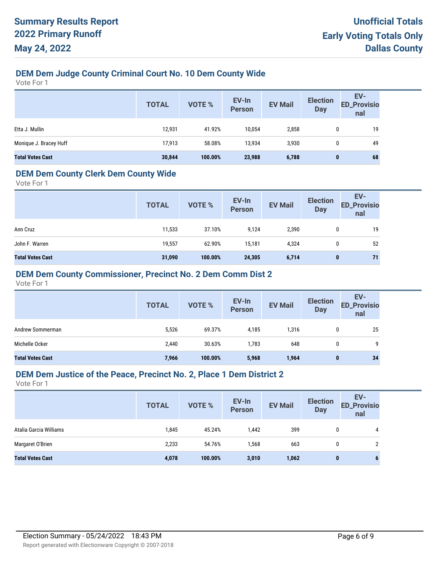## **DEM Dem Judge County Criminal Court No. 10 Dem County Wide**

Vote For 1

|                         | <b>TOTAL</b> | VOTE %  | EV-In<br>Person | <b>EV Mail</b> | <b>Election</b><br><b>Day</b> | EV-<br><b>ED_Provisio</b><br>nal |
|-------------------------|--------------|---------|-----------------|----------------|-------------------------------|----------------------------------|
| Etta J. Mullin          | 12,931       | 41.92%  | 10,054          | 2,858          | 0                             | 19                               |
| Monique J. Bracey Huff  | 17,913       | 58.08%  | 13,934          | 3,930          | 0                             | 49                               |
| <b>Total Votes Cast</b> | 30,844       | 100.00% | 23,988          | 6,788          | $\bf{0}$                      | 68                               |

## **DEM Dem County Clerk Dem County Wide**

Vote For 1

|                         | <b>TOTAL</b> | <b>VOTE %</b> | EV-In<br>Person | <b>EV Mail</b> | <b>Election</b><br><b>Day</b> | EV-<br><b>ED_Provisio</b><br>nal |
|-------------------------|--------------|---------------|-----------------|----------------|-------------------------------|----------------------------------|
| Ann Cruz                | 11,533       | 37.10%        | 9,124           | 2,390          | 0                             | 19                               |
| John F. Warren          | 19,557       | 62.90%        | 15.181          | 4,324          | 0                             | 52                               |
| <b>Total Votes Cast</b> | 31,090       | 100.00%       | 24,305          | 6,714          | $\bf{0}$                      | 71                               |

## **DEM Dem County Commissioner, Precinct No. 2 Dem Comm Dist 2**

Vote For 1

|                         | <b>TOTAL</b> | <b>VOTE %</b> | EV-In<br>Person | <b>EV Mail</b> | <b>Election</b><br><b>Day</b> | EV-<br>ED_Provisio<br>nal |
|-------------------------|--------------|---------------|-----------------|----------------|-------------------------------|---------------------------|
| Andrew Sommerman        | 5,526        | 69.37%        | 4,185           | 1,316          | 0                             | 25                        |
| Michelle Ocker          | 2,440        | 30.63%        | 1,783           | 648            | 0                             | 9                         |
| <b>Total Votes Cast</b> | 7,966        | 100.00%       | 5,968           | 1,964          | 0                             | 34                        |

#### **DEM Dem Justice of the Peace, Precinct No. 2, Place 1 Dem District 2**

|                         | <b>TOTAL</b> | <b>VOTE %</b> | EV-In<br><b>Person</b> | <b>EV Mail</b> | <b>Election</b><br><b>Day</b> | EV-<br><b>ED_Provisio</b><br>nal |
|-------------------------|--------------|---------------|------------------------|----------------|-------------------------------|----------------------------------|
| Atalia Garcia Williams  | 1,845        | 45.24%        | 1,442                  | 399            | 0                             | 4                                |
| Margaret O'Brien        | 2,233        | 54.76%        | 1,568                  | 663            |                               | ົ                                |
| <b>Total Votes Cast</b> | 4,078        | 100.00%       | 3,010                  | 1,062          | $\bf{0}$                      | o                                |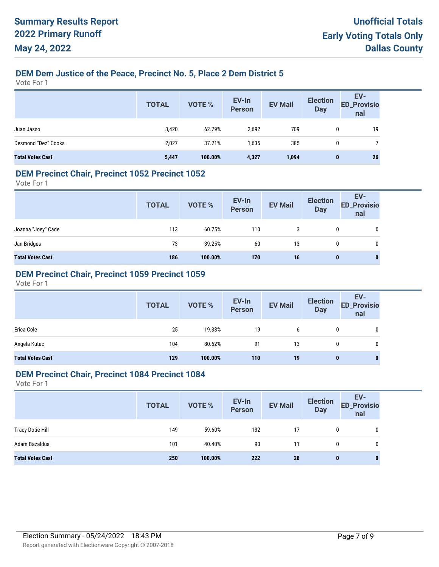## **DEM Dem Justice of the Peace, Precinct No. 5, Place 2 Dem District 5**

Vote For 1

|                         | <b>TOTAL</b> | <b>VOTE %</b> | EV-In<br>Person | <b>EV Mail</b> | <b>Election</b><br>Day | EV-<br><b>ED_Provisio</b><br>nal |
|-------------------------|--------------|---------------|-----------------|----------------|------------------------|----------------------------------|
| Juan Jasso              | 3,420        | 62.79%        | 2,692           | 709            | $\mathbf{0}$           | 19                               |
| Desmond "Dez" Cooks     | 2,027        | 37.21%        | 1,635           | 385            | 0                      |                                  |
| <b>Total Votes Cast</b> | 5,447        | 100.00%       | 4,327           | 1,094          | $\bf{0}$               | 26                               |

### **DEM Precinct Chair, Precinct 1052 Precinct 1052**

Vote For 1

|                         | <b>TOTAL</b> | VOTE %  | EV-In<br>Person  | <b>EV Mail</b> | <b>Election</b><br><b>Day</b> | EV-<br><b>ED_Provisio</b><br>nal |
|-------------------------|--------------|---------|------------------|----------------|-------------------------------|----------------------------------|
| Joanna "Joey" Cade      | 113          | 60.75%  | 110              | 3              | 0                             | 0                                |
| Jan Bridges             | 73           | 39.25%  | 60               | 13             | $\mathbf{0}$                  | 0                                |
| <b>Total Votes Cast</b> | 186          | 100.00% | 170 <sub>1</sub> | 16             | 0                             | $\bf{0}$                         |

## **DEM Precinct Chair, Precinct 1059 Precinct 1059**

Vote For 1

|                         | <b>TOTAL</b> | VOTE %  | EV-In<br>Person | <b>EV Mail</b> | <b>Election</b><br><b>Day</b> | EV-<br><b>ED_Provisio</b><br>nal |
|-------------------------|--------------|---------|-----------------|----------------|-------------------------------|----------------------------------|
| Erica Cole              | 25           | 19.38%  | 19              | 6              | 0                             | 0                                |
| Angela Kutac            | 104          | 80.62%  | 91              | 13             | 0                             | 0                                |
| <b>Total Votes Cast</b> | 129          | 100.00% | 110             | 19             | $\mathbf 0$                   | $\mathbf{0}$                     |

#### **DEM Precinct Chair, Precinct 1084 Precinct 1084**

|                         | <b>TOTAL</b> | <b>VOTE %</b> | EV-In<br>Person | <b>EV Mail</b> | <b>Election</b><br><b>Day</b> | EV-<br><b>ED_Provisio</b><br>nal |
|-------------------------|--------------|---------------|-----------------|----------------|-------------------------------|----------------------------------|
| <b>Tracy Dotie Hill</b> | 149          | 59.60%        | 132             | 17             | 0                             | 0                                |
| Adam Bazaldua           | 101          | 40.40%        | 90              | 11             | 0                             | 0                                |
| <b>Total Votes Cast</b> | 250          | 100.00%       | 222             | 28             | 0                             |                                  |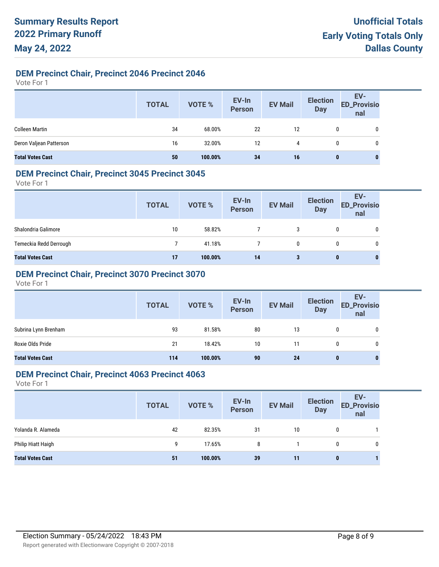## **DEM Precinct Chair, Precinct 2046 Precinct 2046**

Vote For 1

|                         | <b>TOTAL</b> | VOTE %    | EV-In<br>Person | <b>EV Mail</b> | <b>Election</b><br>Day | EV-<br>ED_Provisio<br>nal |
|-------------------------|--------------|-----------|-----------------|----------------|------------------------|---------------------------|
| <b>Colleen Martin</b>   | 34           | $68.00\%$ | 22              | 12             | 0                      | 0                         |
| Deron Valjean Patterson | 16           | 32.00%    | 12              | 4              | 0                      | 0                         |
| <b>Total Votes Cast</b> | 50           | 100.00%   | 34              | 16             | 0                      | $\mathbf{0}$              |

### **DEM Precinct Chair, Precinct 3045 Precinct 3045**

Vote For 1

|                         | <b>TOTAL</b> | VOTE %  | EV-In<br>Person | <b>EV Mail</b> | <b>Election</b><br><b>Day</b> | EV-<br>ED_Provisio<br>nal |
|-------------------------|--------------|---------|-----------------|----------------|-------------------------------|---------------------------|
| Shalondria Galimore     | 10           | 58.82%  |                 | 3              | 0                             | $\mathbf 0$               |
| Temeckia Redd Derrough  |              | 41.18%  |                 | 0              | 0                             | 0                         |
| <b>Total Votes Cast</b> | 17           | 100.00% | 14              | 3              | 0                             | 0                         |

## **DEM Precinct Chair, Precinct 3070 Precinct 3070**

Vote For 1

|                         | <b>TOTAL</b> | VOTE %  | EV-In<br>Person | <b>EV Mail</b> | <b>Election</b><br><b>Day</b> | EV-<br>ED_Provisio<br>nal |
|-------------------------|--------------|---------|-----------------|----------------|-------------------------------|---------------------------|
| Subrina Lynn Brenham    | 93           | 81.58%  | 80              | 13             |                               | 0                         |
| Roxie Olds Pride        | 21           | 18.42%  | 10              | 11             | 0                             | 0                         |
| <b>Total Votes Cast</b> | 114          | 100.00% | 90              | 24             | $\bf{0}$                      | 0                         |

### **DEM Precinct Chair, Precinct 4063 Precinct 4063**

|                         | <b>TOTAL</b> | <b>VOTE %</b> | EV-In<br>Person | <b>EV Mail</b> | <b>Election</b><br><b>Day</b> | EV-<br><b>ED_Provisio</b><br>nal |
|-------------------------|--------------|---------------|-----------------|----------------|-------------------------------|----------------------------------|
| Yolanda R. Alameda      | 42           | 82.35%        | 31              | 10             | 0                             |                                  |
| Philip Hiatt Haigh      | 9            | 17.65%        | 8               |                | 0                             | 0                                |
| <b>Total Votes Cast</b> | 51           | 100.00%       | 39              | 11             | 0                             |                                  |